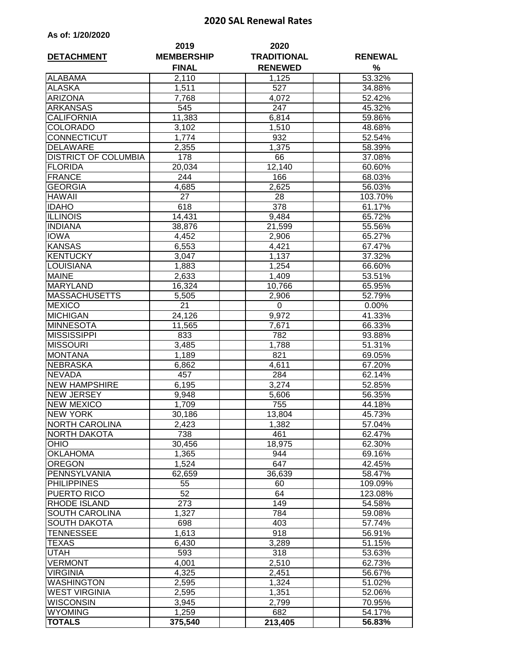## **2020 SAL Renewal Rates**

|  |  | As of: 1/20/2020 |
|--|--|------------------|
|--|--|------------------|

| <b>DETACHMENT</b>           | 2019<br><b>MEMBERSHIP</b> | 2020<br><b>TRADITIONAL</b> | <b>RENEWAL</b> |  |
|-----------------------------|---------------------------|----------------------------|----------------|--|
|                             | <b>FINAL</b>              | <b>RENEWED</b>             | %              |  |
| <b>ALABAMA</b>              | 2,110                     | 1,125                      | 53.32%         |  |
| <b>ALASKA</b>               | 1,511                     | 527                        | 34.88%         |  |
| <b>ARIZONA</b>              | 7,768                     | 4,072                      | 52.42%         |  |
| <b>ARKANSAS</b>             | 545                       | 247                        | 45.32%         |  |
| <b>CALIFORNIA</b>           | 11,383                    | 6,814                      | 59.86%         |  |
| <b>COLORADO</b>             | 3,102                     | 1,510                      | 48.68%         |  |
| CONNECTICUT                 | 1,774                     | 932                        | 52.54%         |  |
| <b>DELAWARE</b>             | 2,355                     | 1,375                      | 58.39%         |  |
| <b>DISTRICT OF COLUMBIA</b> | 178                       | 66                         | 37.08%         |  |
| <b>FLORIDA</b>              | 20,034                    | 12,140                     | 60.60%         |  |
| <b>FRANCE</b>               | 244                       | 166                        | 68.03%         |  |
| <b>GEORGIA</b>              | 4,685                     | 2,625                      | 56.03%         |  |
| <b>HAWAII</b>               | 27                        | 28                         | 103.70%        |  |
| <b>IDAHO</b>                | 618                       | 378                        | 61.17%         |  |
| <b>ILLINOIS</b>             | 14,431                    | 9,484                      | 65.72%         |  |
| <b>INDIANA</b>              | 38,876                    | 21,599                     | 55.56%         |  |
| <b>IOWA</b>                 | 4,452                     | 2,906                      | 65.27%         |  |
| <b>KANSAS</b>               | 6,553                     | 4,421                      | 67.47%         |  |
| <b>KENTUCKY</b>             | 3,047                     | 1,137                      | 37.32%         |  |
| LOUISIANA                   | 1,883                     | 1,254                      | 66.60%         |  |
| <b>MAINE</b>                | 2,633                     | 1,409                      | 53.51%         |  |
| <b>MARYLAND</b>             | 16,324                    | 10,766                     | 65.95%         |  |
| <b>MASSACHUSETTS</b>        | 5,505                     | 2,906                      | 52.79%         |  |
| <b>MEXICO</b>               | 21                        | 0                          | 0.00%          |  |
| <b>MICHIGAN</b>             | 24,126                    | 9,972                      | 41.33%         |  |
| <b>MINNESOTA</b>            | 11,565                    | 7,671                      | 66.33%         |  |
| <b>MISSISSIPPI</b>          | 833                       | 782                        | 93.88%         |  |
| <b>MISSOURI</b>             | 3,485                     | 1,788                      | 51.31%         |  |
| <b>MONTANA</b>              | 1,189                     | 821                        | 69.05%         |  |
| <b>NEBRASKA</b>             | 6,862                     | 4,611                      | 67.20%         |  |
| <b>NEVADA</b>               | 457                       | 284                        | 62.14%         |  |
| <b>NEW HAMPSHIRE</b>        | 6,195                     | 3,274                      | 52.85%         |  |
| <b>NEW JERSEY</b>           | 9,948                     | 5,606                      | 56.35%         |  |
| <b>NEW MEXICO</b>           | 1,709                     | 755                        | 44.18%         |  |
| <b>NEW YORK</b>             | 30,186                    | 13,804                     | 45.73%         |  |
| <b>NORTH CAROLINA</b>       | 2,423                     | 1,382                      | 57.04%         |  |
| NORTH DAKOTA                | 738                       | 461                        | 62.47%         |  |
| <b>OHIO</b>                 | 30,456                    | 18,975                     | 62.30%         |  |
| <b>OKLAHOMA</b>             | 1,365                     | 944                        | 69.16%         |  |
| <b>OREGON</b>               | 1,524                     | 647                        | 42.45%         |  |
| PENNSYLVANIA                | 62,659                    | 36,639                     | 58.47%         |  |
| <b>PHILIPPINES</b>          | 55                        | 60                         | 109.09%        |  |
| PUERTO RICO                 | 52                        | 64                         | 123.08%        |  |
| <b>RHODE ISLAND</b>         | 273                       | 149                        | 54.58%         |  |
| SOUTH CAROLINA              | 1,327                     | 784                        | 59.08%         |  |
| <b>SOUTH DAKOTA</b>         | 698                       | 403                        | 57.74%         |  |
| TENNESSEE                   | 1,613                     | 918                        | 56.91%         |  |
| TEXAS                       | 6,430                     | 3,289                      | 51.15%         |  |
| UTAH                        | 593                       | 318                        | 53.63%         |  |
| <b>VERMONT</b>              | 4,001                     | 2,510                      | 62.73%         |  |
| <b>VIRGINIA</b>             | 4,325                     | 2,451                      | 56.67%         |  |
| <b>WASHINGTON</b>           | 2,595                     | 1,324                      | 51.02%         |  |
| <b>WEST VIRGINIA</b>        | 2,595                     | 1,351                      | 52.06%         |  |
| <b>WISCONSIN</b>            | 3,945                     | 2,799                      | 70.95%         |  |
| <b>WYOMING</b>              | 1,259                     | 682                        | 54.17%         |  |
| <b>TOTALS</b>               | 375,540                   | 213,405                    | 56.83%         |  |